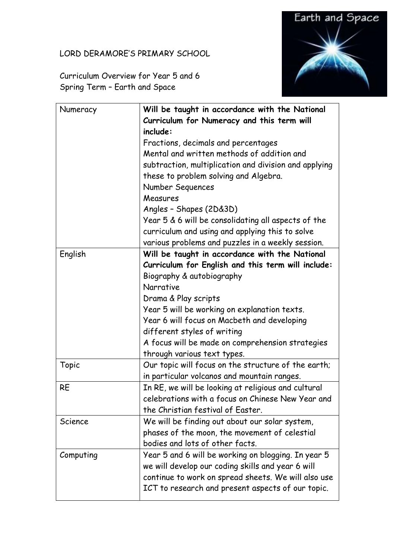## LORD DERAMORE'S PRIMARY SCHOOL



Curriculum Overview for Year 5 and 6 Spring Term – Earth and Space

| Numeracy  | Will be taught in accordance with the National        |
|-----------|-------------------------------------------------------|
|           | Curriculum for Numeracy and this term will            |
|           | include:                                              |
|           | Fractions, decimals and percentages                   |
|           | Mental and written methods of addition and            |
|           | subtraction, multiplication and division and applying |
|           | these to problem solving and Algebra.                 |
|           | Number Sequences                                      |
|           | Measures                                              |
|           | Angles - Shapes (2D&3D)                               |
|           | Year 5 & 6 will be consolidating all aspects of the   |
|           | curriculum and using and applying this to solve       |
|           | various problems and puzzles in a weekly session.     |
| English   | Will be taught in accordance with the National        |
|           | Curriculum for English and this term will include:    |
|           | Biography & autobiography                             |
|           | Narrative                                             |
|           | Drama & Play scripts                                  |
|           | Year 5 will be working on explanation texts.          |
|           | Year 6 will focus on Macbeth and developing           |
|           | different styles of writing                           |
|           | A focus will be made on comprehension strategies      |
|           | through various text types.                           |
| Topic     | Our topic will focus on the structure of the earth;   |
|           | in particular volcanos and mountain ranges.           |
| <b>RE</b> | In RE, we will be looking at religious and cultural   |
|           | celebrations with a focus on Chinese New Year and     |
|           | the Christian festival of Easter.                     |
| Science   | We will be finding out about our solar system,        |
|           | phases of the moon, the movement of celestial         |
|           | bodies and lots of other facts.                       |
| Computing | Year 5 and 6 will be working on blogging. In year 5   |
|           | we will develop our coding skills and year 6 will     |
|           | continue to work on spread sheets. We will also use   |
|           | ICT to research and present aspects of our topic.     |